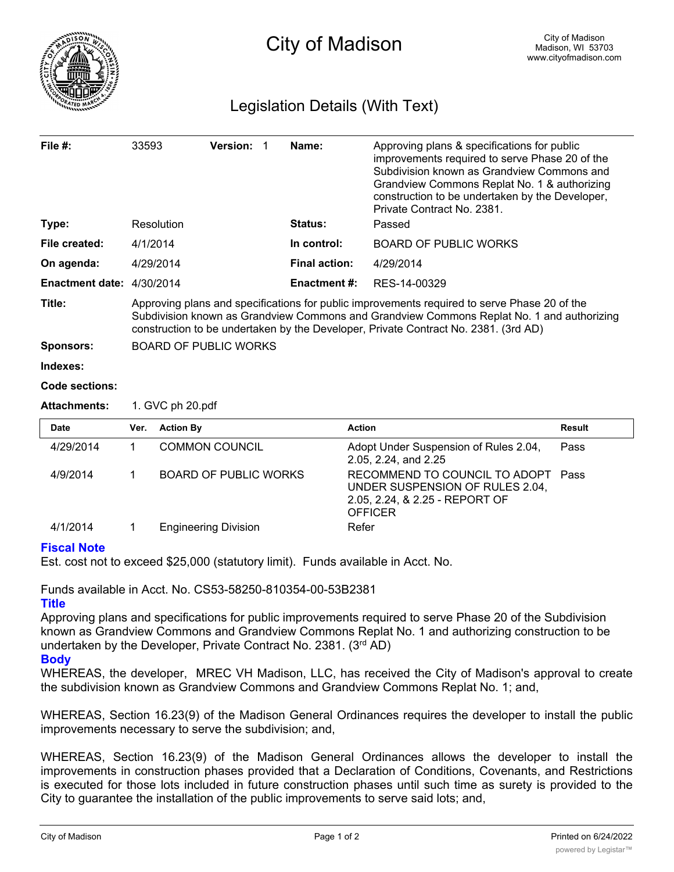

## Legislation Details (With Text)

| File #:                   | 33593                                                                                                                                                                                                                                                                            | <b>Version:</b>              |  | Name:                | Approving plans & specifications for public<br>improvements required to serve Phase 20 of the<br>Subdivision known as Grandview Commons and<br>Grandview Commons Replat No. 1 & authorizing<br>construction to be undertaken by the Developer,<br>Private Contract No. 2381. |               |
|---------------------------|----------------------------------------------------------------------------------------------------------------------------------------------------------------------------------------------------------------------------------------------------------------------------------|------------------------------|--|----------------------|------------------------------------------------------------------------------------------------------------------------------------------------------------------------------------------------------------------------------------------------------------------------------|---------------|
| Type:                     |                                                                                                                                                                                                                                                                                  | Resolution                   |  | Status:              | Passed                                                                                                                                                                                                                                                                       |               |
| File created:             | 4/1/2014                                                                                                                                                                                                                                                                         |                              |  | In control:          | <b>BOARD OF PUBLIC WORKS</b>                                                                                                                                                                                                                                                 |               |
| On agenda:                | 4/29/2014                                                                                                                                                                                                                                                                        |                              |  | <b>Final action:</b> | 4/29/2014                                                                                                                                                                                                                                                                    |               |
| Enactment date: 4/30/2014 |                                                                                                                                                                                                                                                                                  |                              |  | <b>Enactment #:</b>  | RES-14-00329                                                                                                                                                                                                                                                                 |               |
| Title:                    | Approving plans and specifications for public improvements required to serve Phase 20 of the<br>Subdivision known as Grandview Commons and Grandview Commons Replat No. 1 and authorizing<br>construction to be undertaken by the Developer, Private Contract No. 2381. (3rd AD) |                              |  |                      |                                                                                                                                                                                                                                                                              |               |
| <b>Sponsors:</b>          | <b>BOARD OF PUBLIC WORKS</b>                                                                                                                                                                                                                                                     |                              |  |                      |                                                                                                                                                                                                                                                                              |               |
| Indexes:                  |                                                                                                                                                                                                                                                                                  |                              |  |                      |                                                                                                                                                                                                                                                                              |               |
| Code sections:            |                                                                                                                                                                                                                                                                                  |                              |  |                      |                                                                                                                                                                                                                                                                              |               |
| <b>Attachments:</b>       | 1. GVC ph 20.pdf                                                                                                                                                                                                                                                                 |                              |  |                      |                                                                                                                                                                                                                                                                              |               |
| <b>Date</b>               | Ver.                                                                                                                                                                                                                                                                             | <b>Action By</b>             |  |                      | <b>Action</b>                                                                                                                                                                                                                                                                | <b>Result</b> |
| 4/29/2014                 | $\mathbf 1$                                                                                                                                                                                                                                                                      | <b>COMMON COUNCIL</b>        |  |                      | Adopt Under Suspension of Rules 2.04,<br>2.05, 2.24, and 2.25                                                                                                                                                                                                                | Pass          |
| 4/9/2014                  | 1                                                                                                                                                                                                                                                                                | <b>BOARD OF PUBLIC WORKS</b> |  |                      | RECOMMEND TO COUNCIL TO ADOPT<br>UNDER SUSPENSION OF RULES 2.04,<br>2.05, 2.24, & 2.25 - REPORT OF<br><b>OFFICER</b>                                                                                                                                                         | Pass          |
| 4/1/2014                  | 1                                                                                                                                                                                                                                                                                | <b>Engineering Division</b>  |  |                      | Refer                                                                                                                                                                                                                                                                        |               |

## **Fiscal Note**

Est. cost not to exceed \$25,000 (statutory limit). Funds available in Acct. No.

Funds available in Acct. No. CS53-58250-810354-00-53B2381

## **Title**

Approving plans and specifications for public improvements required to serve Phase 20 of the Subdivision known as Grandview Commons and Grandview Commons Replat No. 1 and authorizing construction to be undertaken by the Developer, Private Contract No. 2381. (3rd AD)

## **Body**

WHEREAS, the developer, MREC VH Madison, LLC, has received the City of Madison's approval to create the subdivision known as Grandview Commons and Grandview Commons Replat No. 1; and,

WHEREAS, Section 16.23(9) of the Madison General Ordinances requires the developer to install the public improvements necessary to serve the subdivision; and,

WHEREAS, Section 16.23(9) of the Madison General Ordinances allows the developer to install the improvements in construction phases provided that a Declaration of Conditions, Covenants, and Restrictions is executed for those lots included in future construction phases until such time as surety is provided to the City to guarantee the installation of the public improvements to serve said lots; and,